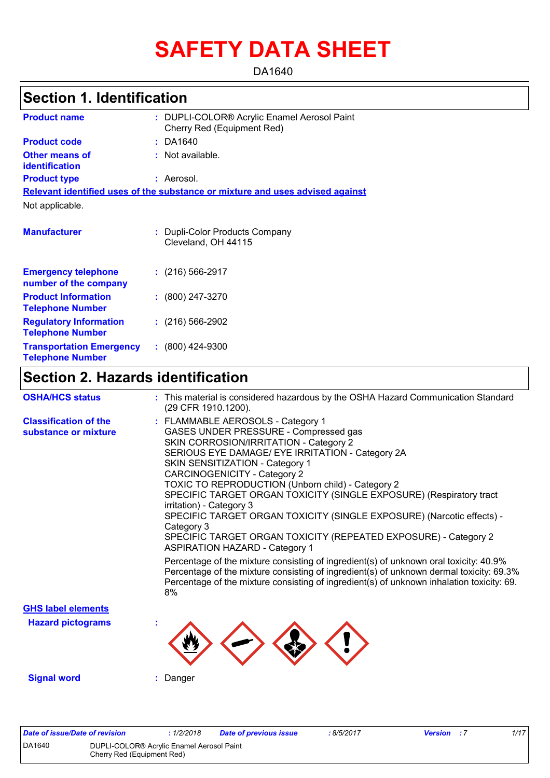# **SAFETY DATA SHEET**

DA1640

## **Section 1. Identification**

| <b>Product name</b>                                        | : DUPLI-COLOR® Acrylic Enamel Aerosol Paint<br>Cherry Red (Equipment Red)     |
|------------------------------------------------------------|-------------------------------------------------------------------------------|
| <b>Product code</b>                                        | $:$ DA1640                                                                    |
| <b>Other means of</b><br><b>identification</b>             | $:$ Not available.                                                            |
| <b>Product type</b>                                        | : Aerosol.                                                                    |
|                                                            | Relevant identified uses of the substance or mixture and uses advised against |
| Not applicable.                                            |                                                                               |
| <b>Manufacturer</b>                                        | : Dupli-Color Products Company<br>Cleveland, OH 44115                         |
| <b>Emergency telephone</b><br>number of the company        | $: (216) 566 - 2917$                                                          |
| <b>Product Information</b><br><b>Telephone Number</b>      | $: (800) 247 - 3270$                                                          |
| <b>Regulatory Information</b><br><b>Telephone Number</b>   | $: (216) 566-2902$                                                            |
| <b>Transportation Emergency</b><br><b>Telephone Number</b> | $: (800)$ 424-9300                                                            |

## **Section 2. Hazards identification**

| <b>OSHA/HCS status</b>                               | : This material is considered hazardous by the OSHA Hazard Communication Standard<br>(29 CFR 1910.1200).                                                                                                                                                                                                                                                                                                                                                                                                                                                                                                                                                                                                                                                                                          |
|------------------------------------------------------|---------------------------------------------------------------------------------------------------------------------------------------------------------------------------------------------------------------------------------------------------------------------------------------------------------------------------------------------------------------------------------------------------------------------------------------------------------------------------------------------------------------------------------------------------------------------------------------------------------------------------------------------------------------------------------------------------------------------------------------------------------------------------------------------------|
| <b>Classification of the</b><br>substance or mixture | : FLAMMABLE AEROSOLS - Category 1<br>GASES UNDER PRESSURE - Compressed gas<br>SKIN CORROSION/IRRITATION - Category 2<br>SERIOUS EYE DAMAGE/ EYE IRRITATION - Category 2A<br>SKIN SENSITIZATION - Category 1<br><b>CARCINOGENICITY - Category 2</b><br>TOXIC TO REPRODUCTION (Unborn child) - Category 2<br>SPECIFIC TARGET ORGAN TOXICITY (SINGLE EXPOSURE) (Respiratory tract<br>irritation) - Category 3<br>SPECIFIC TARGET ORGAN TOXICITY (SINGLE EXPOSURE) (Narcotic effects) -<br>Category 3<br>SPECIFIC TARGET ORGAN TOXICITY (REPEATED EXPOSURE) - Category 2<br><b>ASPIRATION HAZARD - Category 1</b><br>Percentage of the mixture consisting of ingredient(s) of unknown oral toxicity: 40.9%<br>Percentage of the mixture consisting of ingredient(s) of unknown dermal toxicity: 69.3% |
|                                                      | Percentage of the mixture consisting of ingredient(s) of unknown inhalation toxicity: 69.<br>8%                                                                                                                                                                                                                                                                                                                                                                                                                                                                                                                                                                                                                                                                                                   |
| <b>GHS label elements</b>                            |                                                                                                                                                                                                                                                                                                                                                                                                                                                                                                                                                                                                                                                                                                                                                                                                   |
| <b>Hazard pictograms</b>                             |                                                                                                                                                                                                                                                                                                                                                                                                                                                                                                                                                                                                                                                                                                                                                                                                   |
| <b>Signal word</b>                                   | : Danger                                                                                                                                                                                                                                                                                                                                                                                                                                                                                                                                                                                                                                                                                                                                                                                          |

| Date of issue/Date of revision |                                                                         | 1/2/2018 | Date of previous issue | 8/5/2017 | <b>Version</b> : 7 | 1/17 |
|--------------------------------|-------------------------------------------------------------------------|----------|------------------------|----------|--------------------|------|
| DA1640                         | DUPLI-COLOR® Acrylic Enamel Aerosol Paint<br>Cherry Red (Equipment Red) |          |                        |          |                    |      |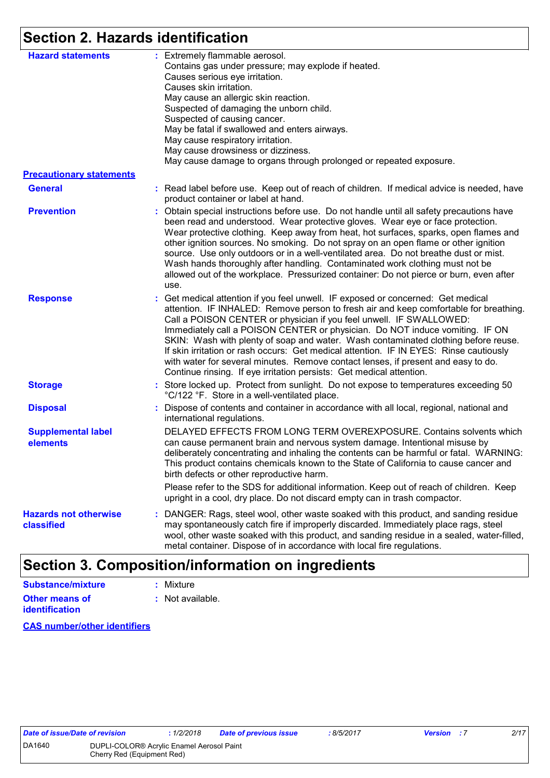## **Section 2. Hazards identification**

| <b>Hazard statements</b><br><b>Precautionary statements</b> | : Extremely flammable aerosol.<br>Contains gas under pressure; may explode if heated.<br>Causes serious eye irritation.<br>Causes skin irritation.<br>May cause an allergic skin reaction.<br>Suspected of damaging the unborn child.<br>Suspected of causing cancer.<br>May be fatal if swallowed and enters airways.<br>May cause respiratory irritation.<br>May cause drowsiness or dizziness.<br>May cause damage to organs through prolonged or repeated exposure.                                                                                                                                                                                                       |
|-------------------------------------------------------------|-------------------------------------------------------------------------------------------------------------------------------------------------------------------------------------------------------------------------------------------------------------------------------------------------------------------------------------------------------------------------------------------------------------------------------------------------------------------------------------------------------------------------------------------------------------------------------------------------------------------------------------------------------------------------------|
| <b>General</b>                                              | : Read label before use. Keep out of reach of children. If medical advice is needed, have<br>product container or label at hand.                                                                                                                                                                                                                                                                                                                                                                                                                                                                                                                                              |
| <b>Prevention</b>                                           | : Obtain special instructions before use. Do not handle until all safety precautions have<br>been read and understood. Wear protective gloves. Wear eye or face protection.<br>Wear protective clothing. Keep away from heat, hot surfaces, sparks, open flames and<br>other ignition sources. No smoking. Do not spray on an open flame or other ignition<br>source. Use only outdoors or in a well-ventilated area. Do not breathe dust or mist.<br>Wash hands thoroughly after handling. Contaminated work clothing must not be<br>allowed out of the workplace. Pressurized container: Do not pierce or burn, even after<br>use.                                          |
| <b>Response</b>                                             | : Get medical attention if you feel unwell. IF exposed or concerned: Get medical<br>attention. IF INHALED: Remove person to fresh air and keep comfortable for breathing.<br>Call a POISON CENTER or physician if you feel unwell. IF SWALLOWED:<br>Immediately call a POISON CENTER or physician. Do NOT induce vomiting. IF ON<br>SKIN: Wash with plenty of soap and water. Wash contaminated clothing before reuse.<br>If skin irritation or rash occurs: Get medical attention. IF IN EYES: Rinse cautiously<br>with water for several minutes. Remove contact lenses, if present and easy to do.<br>Continue rinsing. If eye irritation persists: Get medical attention. |
| <b>Storage</b>                                              | : Store locked up. Protect from sunlight. Do not expose to temperatures exceeding 50<br>°C/122 °F. Store in a well-ventilated place.                                                                                                                                                                                                                                                                                                                                                                                                                                                                                                                                          |
| <b>Disposal</b>                                             | : Dispose of contents and container in accordance with all local, regional, national and<br>international regulations.                                                                                                                                                                                                                                                                                                                                                                                                                                                                                                                                                        |
| <b>Supplemental label</b><br>elements                       | DELAYED EFFECTS FROM LONG TERM OVEREXPOSURE. Contains solvents which<br>can cause permanent brain and nervous system damage. Intentional misuse by<br>deliberately concentrating and inhaling the contents can be harmful or fatal. WARNING:<br>This product contains chemicals known to the State of California to cause cancer and<br>birth defects or other reproductive harm.                                                                                                                                                                                                                                                                                             |
|                                                             | Please refer to the SDS for additional information. Keep out of reach of children. Keep<br>upright in a cool, dry place. Do not discard empty can in trash compactor.                                                                                                                                                                                                                                                                                                                                                                                                                                                                                                         |
| <b>Hazards not otherwise</b><br>classified                  | : DANGER: Rags, steel wool, other waste soaked with this product, and sanding residue<br>may spontaneously catch fire if improperly discarded. Immediately place rags, steel<br>wool, other waste soaked with this product, and sanding residue in a sealed, water-filled,<br>metal container. Dispose of in accordance with local fire regulations.                                                                                                                                                                                                                                                                                                                          |

## **Section 3. Composition/information on ingredients**

| Substance/mixture                              | $:$ Mixture      |
|------------------------------------------------|------------------|
| <b>Other means of</b><br><i>identification</i> | : Not available. |

**CAS number/other identifiers**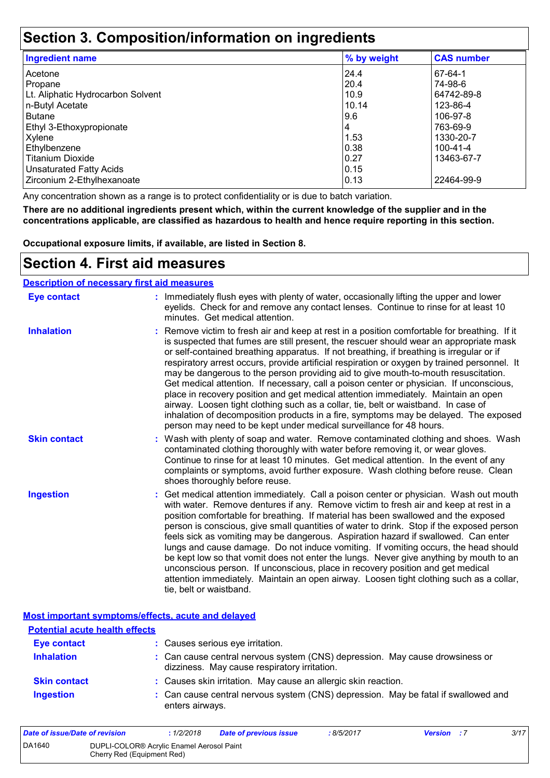## **Section 3. Composition/information on ingredients**

| <b>Ingredient name</b>            | % by weight | <b>CAS number</b> |
|-----------------------------------|-------------|-------------------|
| Acetone                           | 24.4        | 67-64-1           |
| Propane                           | 20.4        | 74-98-6           |
| Lt. Aliphatic Hydrocarbon Solvent | 10.9        | 64742-89-8        |
| n-Butyl Acetate                   | 10.14       | 123-86-4          |
| <b>Butane</b>                     | 9.6         | 106-97-8          |
| Ethyl 3-Ethoxypropionate          | 4           | 763-69-9          |
| Xylene                            | 1.53        | 1330-20-7         |
| Ethylbenzene                      | 0.38        | $100 - 41 - 4$    |
| <b>Titanium Dioxide</b>           | 10.27       | 13463-67-7        |
| <b>Unsaturated Fatty Acids</b>    | 0.15        |                   |
| Zirconium 2-Ethylhexanoate        | 0.13        | 22464-99-9        |

Any concentration shown as a range is to protect confidentiality or is due to batch variation.

**There are no additional ingredients present which, within the current knowledge of the supplier and in the concentrations applicable, are classified as hazardous to health and hence require reporting in this section.**

**Occupational exposure limits, if available, are listed in Section 8.**

### **Section 4. First aid measures**

#### **Description of necessary first aid measures**

| <b>Eye contact</b>  | : Immediately flush eyes with plenty of water, occasionally lifting the upper and lower<br>eyelids. Check for and remove any contact lenses. Continue to rinse for at least 10<br>minutes. Get medical attention.                                                                                                                                                                                                                                                                                                                                                                                                                                                                                                                                                                                                                                                                                              |
|---------------------|----------------------------------------------------------------------------------------------------------------------------------------------------------------------------------------------------------------------------------------------------------------------------------------------------------------------------------------------------------------------------------------------------------------------------------------------------------------------------------------------------------------------------------------------------------------------------------------------------------------------------------------------------------------------------------------------------------------------------------------------------------------------------------------------------------------------------------------------------------------------------------------------------------------|
| <b>Inhalation</b>   | : Remove victim to fresh air and keep at rest in a position comfortable for breathing. If it<br>is suspected that fumes are still present, the rescuer should wear an appropriate mask<br>or self-contained breathing apparatus. If not breathing, if breathing is irregular or if<br>respiratory arrest occurs, provide artificial respiration or oxygen by trained personnel. It<br>may be dangerous to the person providing aid to give mouth-to-mouth resuscitation.<br>Get medical attention. If necessary, call a poison center or physician. If unconscious,<br>place in recovery position and get medical attention immediately. Maintain an open<br>airway. Loosen tight clothing such as a collar, tie, belt or waistband. In case of<br>inhalation of decomposition products in a fire, symptoms may be delayed. The exposed<br>person may need to be kept under medical surveillance for 48 hours. |
| <b>Skin contact</b> | : Wash with plenty of soap and water. Remove contaminated clothing and shoes. Wash<br>contaminated clothing thoroughly with water before removing it, or wear gloves.<br>Continue to rinse for at least 10 minutes. Get medical attention. In the event of any<br>complaints or symptoms, avoid further exposure. Wash clothing before reuse. Clean<br>shoes thoroughly before reuse.                                                                                                                                                                                                                                                                                                                                                                                                                                                                                                                          |
| <b>Ingestion</b>    | : Get medical attention immediately. Call a poison center or physician. Wash out mouth<br>with water. Remove dentures if any. Remove victim to fresh air and keep at rest in a<br>position comfortable for breathing. If material has been swallowed and the exposed<br>person is conscious, give small quantities of water to drink. Stop if the exposed person<br>feels sick as vomiting may be dangerous. Aspiration hazard if swallowed. Can enter<br>lungs and cause damage. Do not induce vomiting. If vomiting occurs, the head should<br>be kept low so that vomit does not enter the lungs. Never give anything by mouth to an<br>unconscious person. If unconscious, place in recovery position and get medical<br>attention immediately. Maintain an open airway. Loosen tight clothing such as a collar,<br>tie, belt or waistband.                                                                |

**Most important symptoms/effects, acute and delayed**

| <b>Potential acute health effects</b> |                                                                                                                              |
|---------------------------------------|------------------------------------------------------------------------------------------------------------------------------|
| <b>Eye contact</b>                    | : Causes serious eye irritation.                                                                                             |
| <b>Inhalation</b>                     | : Can cause central nervous system (CNS) depression. May cause drowsiness or<br>dizziness. May cause respiratory irritation. |
| <b>Skin contact</b>                   | : Causes skin irritation. May cause an allergic skin reaction.                                                               |
| <b>Ingestion</b>                      | : Can cause central nervous system (CNS) depression. May be fatal if swallowed and<br>enters airways.                        |

| Date of issue/Date of revision |                                                                         | : 1/2/2018 | Date of previous issue | : 8/5/2017 | <b>Version</b> : 7 | 3/17 |
|--------------------------------|-------------------------------------------------------------------------|------------|------------------------|------------|--------------------|------|
| DA1640                         | DUPLI-COLOR® Acrylic Enamel Aerosol Paint<br>Cherry Red (Equipment Red) |            |                        |            |                    |      |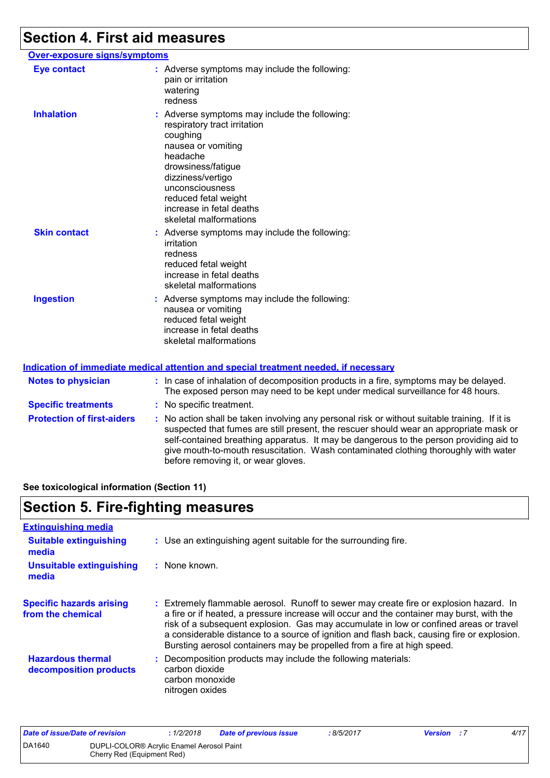# **Section 4. First aid measures**

| <u>Over-exposure signs/symptoms</u> |                                                                                                                                                                                                                                                                         |  |
|-------------------------------------|-------------------------------------------------------------------------------------------------------------------------------------------------------------------------------------------------------------------------------------------------------------------------|--|
| <b>Eye contact</b>                  | : Adverse symptoms may include the following:<br>pain or irritation<br>watering<br>redness                                                                                                                                                                              |  |
| <b>Inhalation</b>                   | : Adverse symptoms may include the following:<br>respiratory tract irritation<br>coughing<br>nausea or vomiting<br>headache<br>drowsiness/fatigue<br>dizziness/vertigo<br>unconsciousness<br>reduced fetal weight<br>increase in fetal deaths<br>skeletal malformations |  |
| <b>Skin contact</b>                 | : Adverse symptoms may include the following:<br>irritation<br>redness<br>reduced fetal weight<br>increase in fetal deaths<br>skeletal malformations                                                                                                                    |  |
| <b>Ingestion</b>                    | : Adverse symptoms may include the following:<br>nausea or vomiting<br>reduced fetal weight<br>increase in fetal deaths<br>skeletal malformations                                                                                                                       |  |
|                                     |                                                                                                                                                                                                                                                                         |  |

#### **Indication of immediate medical attention and special treatment needed, if necessary**

| <b>Notes to physician</b>         | : In case of inhalation of decomposition products in a fire, symptoms may be delayed.<br>The exposed person may need to be kept under medical surveillance for 48 hours.                                                                                                                                                                                                                                        |
|-----------------------------------|-----------------------------------------------------------------------------------------------------------------------------------------------------------------------------------------------------------------------------------------------------------------------------------------------------------------------------------------------------------------------------------------------------------------|
| <b>Specific treatments</b>        | : No specific treatment.                                                                                                                                                                                                                                                                                                                                                                                        |
| <b>Protection of first-aiders</b> | : No action shall be taken involving any personal risk or without suitable training. If it is<br>suspected that fumes are still present, the rescuer should wear an appropriate mask or<br>self-contained breathing apparatus. It may be dangerous to the person providing aid to<br>give mouth-to-mouth resuscitation. Wash contaminated clothing thoroughly with water<br>before removing it, or wear gloves. |

**See toxicological information (Section 11)**

## **Section 5. Fire-fighting measures**

| <b>Extinguishing media</b>                           |                                                                                                                                                                                                                                                                                                                                                                                                                                                     |
|------------------------------------------------------|-----------------------------------------------------------------------------------------------------------------------------------------------------------------------------------------------------------------------------------------------------------------------------------------------------------------------------------------------------------------------------------------------------------------------------------------------------|
| <b>Suitable extinguishing</b><br>media               | : Use an extinguishing agent suitable for the surrounding fire.                                                                                                                                                                                                                                                                                                                                                                                     |
| <b>Unsuitable extinguishing</b><br>media             | $:$ None known.                                                                                                                                                                                                                                                                                                                                                                                                                                     |
| <b>Specific hazards arising</b><br>from the chemical | Extremely flammable aerosol. Runoff to sewer may create fire or explosion hazard. In<br>a fire or if heated, a pressure increase will occur and the container may burst, with the<br>risk of a subsequent explosion. Gas may accumulate in low or confined areas or travel<br>a considerable distance to a source of ignition and flash back, causing fire or explosion.<br>Bursting aerosol containers may be propelled from a fire at high speed. |
| <b>Hazardous thermal</b><br>decomposition products   | Decomposition products may include the following materials:<br>carbon dioxide<br>carbon monoxide<br>nitrogen oxides                                                                                                                                                                                                                                                                                                                                 |

| Date of issue/Date of revision |                                                                                     | : 1/2/2018 | Date of previous issue | : 8/5/2017 | <b>Version</b> : 7 | 4/17 |
|--------------------------------|-------------------------------------------------------------------------------------|------------|------------------------|------------|--------------------|------|
| DA1640                         | DUPLI-COLOR <sup>®</sup> Acrylic Enamel Aerosol Paint<br>Cherry Red (Equipment Red) |            |                        |            |                    |      |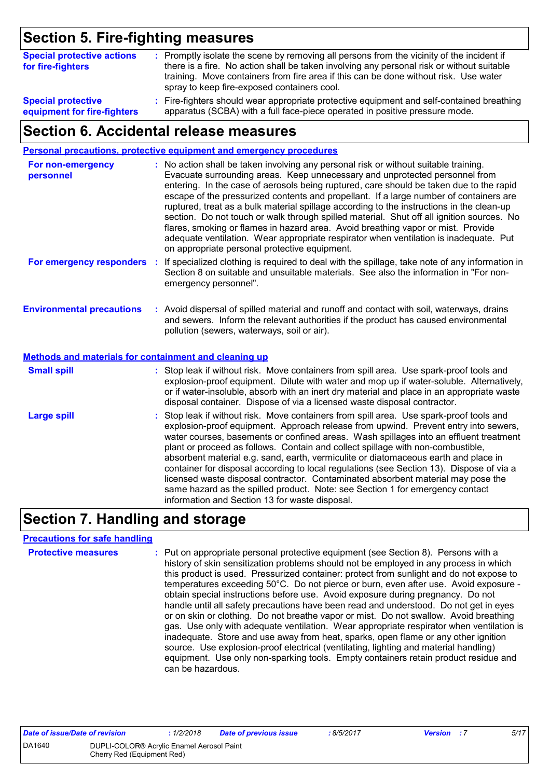## **Section 5. Fire-fighting measures**

| <b>Special protective actions</b><br>for fire-fighters | : Promptly isolate the scene by removing all persons from the vicinity of the incident if<br>there is a fire. No action shall be taken involving any personal risk or without suitable<br>training. Move containers from fire area if this can be done without risk. Use water<br>spray to keep fire-exposed containers cool. |
|--------------------------------------------------------|-------------------------------------------------------------------------------------------------------------------------------------------------------------------------------------------------------------------------------------------------------------------------------------------------------------------------------|
| <b>Special protective</b>                              | : Fire-fighters should wear appropriate protective equipment and self-contained breathing                                                                                                                                                                                                                                     |
| equipment for fire-fighters                            | apparatus (SCBA) with a full face-piece operated in positive pressure mode.                                                                                                                                                                                                                                                   |

## **Section 6. Accidental release measures**

|                                                                                                  | <b>Personal precautions, protective equipment and emergency procedures</b>                                                                                                                                                                                                                                                                                                                                                                                                                                                                                                                                                                                                                                                                                                       |
|--------------------------------------------------------------------------------------------------|----------------------------------------------------------------------------------------------------------------------------------------------------------------------------------------------------------------------------------------------------------------------------------------------------------------------------------------------------------------------------------------------------------------------------------------------------------------------------------------------------------------------------------------------------------------------------------------------------------------------------------------------------------------------------------------------------------------------------------------------------------------------------------|
| For non-emergency<br>personnel                                                                   | : No action shall be taken involving any personal risk or without suitable training.<br>Evacuate surrounding areas. Keep unnecessary and unprotected personnel from<br>entering. In the case of aerosols being ruptured, care should be taken due to the rapid<br>escape of the pressurized contents and propellant. If a large number of containers are<br>ruptured, treat as a bulk material spillage according to the instructions in the clean-up<br>section. Do not touch or walk through spilled material. Shut off all ignition sources. No<br>flares, smoking or flames in hazard area. Avoid breathing vapor or mist. Provide<br>adequate ventilation. Wear appropriate respirator when ventilation is inadequate. Put<br>on appropriate personal protective equipment. |
| For emergency responders                                                                         | : If specialized clothing is required to deal with the spillage, take note of any information in<br>Section 8 on suitable and unsuitable materials. See also the information in "For non-<br>emergency personnel".                                                                                                                                                                                                                                                                                                                                                                                                                                                                                                                                                               |
| <b>Environmental precautions</b><br><b>Methods and materials for containment and cleaning up</b> | : Avoid dispersal of spilled material and runoff and contact with soil, waterways, drains<br>and sewers. Inform the relevant authorities if the product has caused environmental<br>pollution (sewers, waterways, soil or air).                                                                                                                                                                                                                                                                                                                                                                                                                                                                                                                                                  |
|                                                                                                  |                                                                                                                                                                                                                                                                                                                                                                                                                                                                                                                                                                                                                                                                                                                                                                                  |
| <b>Small spill</b>                                                                               | : Stop leak if without risk. Move containers from spill area. Use spark-proof tools and<br>explosion-proof equipment. Dilute with water and mop up if water-soluble. Alternatively,<br>or if water-insoluble, absorb with an inert dry material and place in an appropriate waste<br>disposal container. Dispose of via a licensed waste disposal contractor.                                                                                                                                                                                                                                                                                                                                                                                                                    |
| <b>Large spill</b>                                                                               | : Stop leak if without risk. Move containers from spill area. Use spark-proof tools and<br>explosion-proof equipment. Approach release from upwind. Prevent entry into sewers,<br>water courses, basements or confined areas. Wash spillages into an effluent treatment<br>plant or proceed as follows. Contain and collect spillage with non-combustible,<br>absorbent material e.g. sand, earth, vermiculite or diatomaceous earth and place in<br>container for disposal according to local regulations (see Section 13). Dispose of via a<br>licensed waste disposal contractor. Contaminated absorbent material may pose the<br>same hazard as the spilled product. Note: see Section 1 for emergency contact<br>information and Section 13 for waste disposal.             |

## **Section 7. Handling and storage**

### **Precautions for safe handling**

| <b>Protective measures</b> | : Put on appropriate personal protective equipment (see Section 8). Persons with a<br>history of skin sensitization problems should not be employed in any process in which<br>this product is used. Pressurized container: protect from sunlight and do not expose to<br>temperatures exceeding 50°C. Do not pierce or burn, even after use. Avoid exposure -<br>obtain special instructions before use. Avoid exposure during pregnancy. Do not<br>handle until all safety precautions have been read and understood. Do not get in eyes<br>or on skin or clothing. Do not breathe vapor or mist. Do not swallow. Avoid breathing<br>gas. Use only with adequate ventilation. Wear appropriate respirator when ventilation is<br>inadequate. Store and use away from heat, sparks, open flame or any other ignition<br>source. Use explosion-proof electrical (ventilating, lighting and material handling)<br>equipment. Use only non-sparking tools. Empty containers retain product residue and |
|----------------------------|------------------------------------------------------------------------------------------------------------------------------------------------------------------------------------------------------------------------------------------------------------------------------------------------------------------------------------------------------------------------------------------------------------------------------------------------------------------------------------------------------------------------------------------------------------------------------------------------------------------------------------------------------------------------------------------------------------------------------------------------------------------------------------------------------------------------------------------------------------------------------------------------------------------------------------------------------------------------------------------------------|
|                            | can be hazardous.                                                                                                                                                                                                                                                                                                                                                                                                                                                                                                                                                                                                                                                                                                                                                                                                                                                                                                                                                                                    |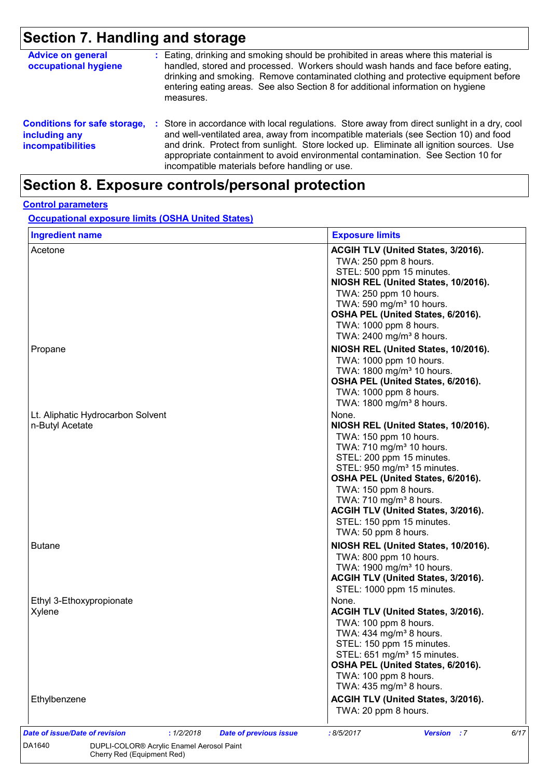## **Section 7. Handling and storage**

| <b>Advice on general</b><br>occupational hygiene                                 |    | : Eating, drinking and smoking should be prohibited in areas where this material is<br>handled, stored and processed. Workers should wash hands and face before eating,<br>drinking and smoking. Remove contaminated clothing and protective equipment before<br>entering eating areas. See also Section 8 for additional information on hygiene<br>measures.                                                      |
|----------------------------------------------------------------------------------|----|--------------------------------------------------------------------------------------------------------------------------------------------------------------------------------------------------------------------------------------------------------------------------------------------------------------------------------------------------------------------------------------------------------------------|
| <b>Conditions for safe storage,</b><br>including any<br><b>incompatibilities</b> | ÷. | Store in accordance with local regulations. Store away from direct sunlight in a dry, cool<br>and well-ventilated area, away from incompatible materials (see Section 10) and food<br>and drink. Protect from sunlight. Store locked up. Eliminate all ignition sources. Use<br>appropriate containment to avoid environmental contamination. See Section 10 for<br>incompatible materials before handling or use. |

## **Section 8. Exposure controls/personal protection**

#### **Control parameters**

**Occupational exposure limits (OSHA United States)**

| <b>Ingredient name</b>                                                        | <b>Exposure limits</b>                                                                                                                                                                                                                                                                                                                                                                 |
|-------------------------------------------------------------------------------|----------------------------------------------------------------------------------------------------------------------------------------------------------------------------------------------------------------------------------------------------------------------------------------------------------------------------------------------------------------------------------------|
| Acetone                                                                       | ACGIH TLV (United States, 3/2016).<br>TWA: 250 ppm 8 hours.<br>STEL: 500 ppm 15 minutes.<br>NIOSH REL (United States, 10/2016).<br>TWA: 250 ppm 10 hours.<br>TWA: 590 mg/m <sup>3</sup> 10 hours.<br>OSHA PEL (United States, 6/2016).<br>TWA: 1000 ppm 8 hours.<br>TWA: 2400 mg/m <sup>3</sup> 8 hours.                                                                               |
| Propane                                                                       | NIOSH REL (United States, 10/2016).<br>TWA: 1000 ppm 10 hours.<br>TWA: 1800 mg/m <sup>3</sup> 10 hours.<br>OSHA PEL (United States, 6/2016).<br>TWA: 1000 ppm 8 hours.<br>TWA: 1800 mg/m <sup>3</sup> 8 hours.                                                                                                                                                                         |
| Lt. Aliphatic Hydrocarbon Solvent<br>n-Butyl Acetate                          | None.<br>NIOSH REL (United States, 10/2016).<br>TWA: 150 ppm 10 hours.<br>TWA: 710 mg/m <sup>3</sup> 10 hours.<br>STEL: 200 ppm 15 minutes.<br>STEL: 950 mg/m <sup>3</sup> 15 minutes.<br>OSHA PEL (United States, 6/2016).<br>TWA: 150 ppm 8 hours.<br>TWA: 710 mg/m <sup>3</sup> 8 hours.<br>ACGIH TLV (United States, 3/2016).<br>STEL: 150 ppm 15 minutes.<br>TWA: 50 ppm 8 hours. |
| <b>Butane</b>                                                                 | NIOSH REL (United States, 10/2016).<br>TWA: 800 ppm 10 hours.<br>TWA: 1900 mg/m <sup>3</sup> 10 hours.<br>ACGIH TLV (United States, 3/2016).<br>STEL: 1000 ppm 15 minutes.                                                                                                                                                                                                             |
| Ethyl 3-Ethoxypropionate<br>Xylene                                            | None.<br>ACGIH TLV (United States, 3/2016).<br>TWA: 100 ppm 8 hours.<br>TWA: $434$ mg/m <sup>3</sup> 8 hours.<br>STEL: 150 ppm 15 minutes.<br>STEL: 651 mg/m <sup>3</sup> 15 minutes.<br>OSHA PEL (United States, 6/2016).<br>TWA: 100 ppm 8 hours.<br>TWA: 435 mg/m <sup>3</sup> 8 hours.                                                                                             |
| Ethylbenzene                                                                  | ACGIH TLV (United States, 3/2016).<br>TWA: 20 ppm 8 hours.                                                                                                                                                                                                                                                                                                                             |
| Date of issue/Date of revision<br>: 1/2/2018<br><b>Date of previous issue</b> | 6/17<br>:8/5/2017<br><b>Version</b> : 7                                                                                                                                                                                                                                                                                                                                                |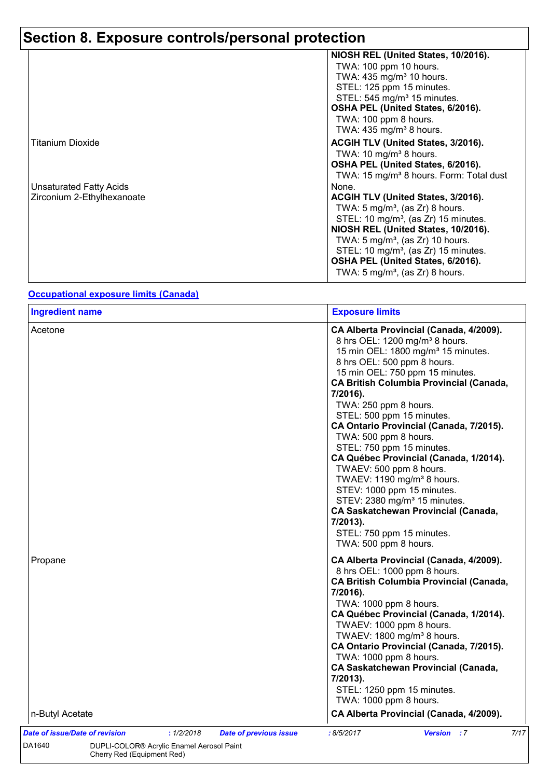|                                | NIOSH REL (United States, 10/2016).                 |
|--------------------------------|-----------------------------------------------------|
|                                | TWA: 100 ppm 10 hours.                              |
|                                | TWA: 435 mg/m <sup>3</sup> 10 hours.                |
|                                | STEL: 125 ppm 15 minutes.                           |
|                                | STEL: 545 mg/m <sup>3</sup> 15 minutes.             |
|                                | OSHA PEL (United States, 6/2016).                   |
|                                | TWA: 100 ppm 8 hours.                               |
|                                | TWA: $435 \text{ mg/m}^3$ 8 hours.                  |
| Titanium Dioxide               | ACGIH TLV (United States, 3/2016).                  |
|                                | TWA: 10 mg/m <sup>3</sup> 8 hours.                  |
|                                | OSHA PEL (United States, 6/2016).                   |
|                                | TWA: 15 mg/m <sup>3</sup> 8 hours. Form: Total dust |
| <b>Unsaturated Fatty Acids</b> | None.                                               |
| Zirconium 2-Ethylhexanoate     | ACGIH TLV (United States, 3/2016).                  |
|                                | TWA: $5 \text{ mg/m}^3$ , (as Zr) 8 hours.          |
|                                | STEL: 10 mg/m <sup>3</sup> , (as Zr) 15 minutes.    |
|                                | NIOSH REL (United States, 10/2016).                 |
|                                | TWA: $5 \text{ mg/m}^3$ , (as Zr) 10 hours.         |
|                                | STEL: 10 mg/m <sup>3</sup> , (as Zr) 15 minutes.    |
|                                | OSHA PEL (United States, 6/2016).                   |
|                                | TWA: $5 \text{ mg/m}^3$ , (as Zr) 8 hours.          |
|                                |                                                     |

#### **Occupational exposure limits (Canada)**

Cherry Red (Equipment Red)

| <b>Ingredient name</b>     | <b>Exposure limits</b>                                                                                                                                                                                                                                                                                                                                                                                                                                                                                                                                                                                                                                                                                                                  |
|----------------------------|-----------------------------------------------------------------------------------------------------------------------------------------------------------------------------------------------------------------------------------------------------------------------------------------------------------------------------------------------------------------------------------------------------------------------------------------------------------------------------------------------------------------------------------------------------------------------------------------------------------------------------------------------------------------------------------------------------------------------------------------|
| Acetone                    | CA Alberta Provincial (Canada, 4/2009).<br>8 hrs OEL: 1200 mg/m <sup>3</sup> 8 hours.<br>15 min OEL: 1800 mg/m <sup>3</sup> 15 minutes.<br>8 hrs OEL: 500 ppm 8 hours.<br>15 min OEL: 750 ppm 15 minutes.<br><b>CA British Columbia Provincial (Canada,</b><br>7/2016).<br>TWA: 250 ppm 8 hours.<br>STEL: 500 ppm 15 minutes.<br>CA Ontario Provincial (Canada, 7/2015).<br>TWA: 500 ppm 8 hours.<br>STEL: 750 ppm 15 minutes.<br>CA Québec Provincial (Canada, 1/2014).<br>TWAEV: 500 ppm 8 hours.<br>TWAEV: 1190 mg/m <sup>3</sup> 8 hours.<br>STEV: 1000 ppm 15 minutes.<br>STEV: 2380 mg/m <sup>3</sup> 15 minutes.<br><b>CA Saskatchewan Provincial (Canada,</b><br>7/2013).<br>STEL: 750 ppm 15 minutes.<br>TWA: 500 ppm 8 hours. |
| Propane<br>n-Butyl Acetate | CA Alberta Provincial (Canada, 4/2009).<br>8 hrs OEL: 1000 ppm 8 hours.<br><b>CA British Columbia Provincial (Canada,</b><br>7/2016).<br>TWA: 1000 ppm 8 hours.<br>CA Québec Provincial (Canada, 1/2014).<br>TWAEV: 1000 ppm 8 hours.<br>TWAEV: 1800 mg/m <sup>3</sup> 8 hours.<br>CA Ontario Provincial (Canada, 7/2015).<br>TWA: 1000 ppm 8 hours.<br><b>CA Saskatchewan Provincial (Canada,</b><br>7/2013).<br>STEL: 1250 ppm 15 minutes.<br>TWA: 1000 ppm 8 hours.<br>CA Alberta Provincial (Canada, 4/2009).                                                                                                                                                                                                                       |
|                            |                                                                                                                                                                                                                                                                                                                                                                                                                                                                                                                                                                                                                                                                                                                                         |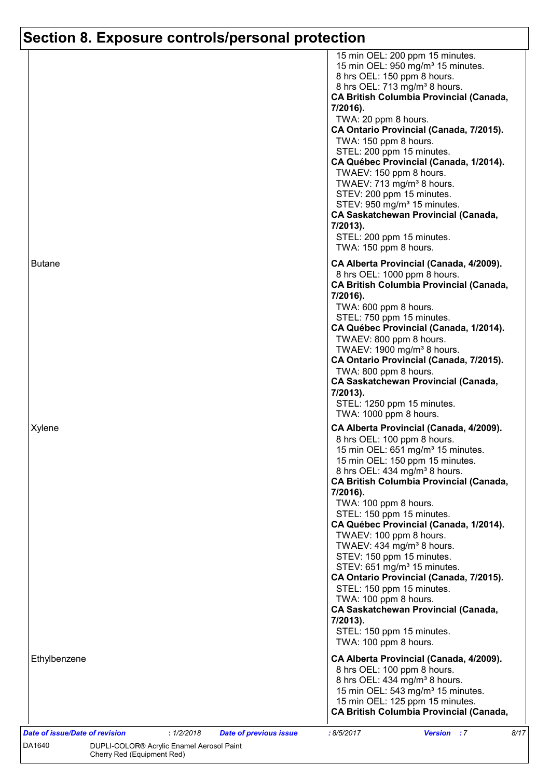|                                       |            |                               | 15 min OEL: 200 ppm 15 minutes.<br>15 min OEL: 950 mg/m <sup>3</sup> 15 minutes.<br>8 hrs OEL: 150 ppm 8 hours. |
|---------------------------------------|------------|-------------------------------|-----------------------------------------------------------------------------------------------------------------|
|                                       |            |                               | 8 hrs OEL: 713 mg/m <sup>3</sup> 8 hours.                                                                       |
|                                       |            |                               | <b>CA British Columbia Provincial (Canada,</b>                                                                  |
|                                       |            |                               | 7/2016).                                                                                                        |
|                                       |            |                               | TWA: 20 ppm 8 hours.                                                                                            |
|                                       |            |                               | CA Ontario Provincial (Canada, 7/2015).                                                                         |
|                                       |            |                               | TWA: 150 ppm 8 hours.                                                                                           |
|                                       |            |                               | STEL: 200 ppm 15 minutes.                                                                                       |
|                                       |            |                               | CA Québec Provincial (Canada, 1/2014).<br>TWAEV: 150 ppm 8 hours.                                               |
|                                       |            |                               | TWAEV: 713 mg/m <sup>3</sup> 8 hours.                                                                           |
|                                       |            |                               | STEV: 200 ppm 15 minutes.                                                                                       |
|                                       |            |                               | STEV: 950 mg/m <sup>3</sup> 15 minutes.                                                                         |
|                                       |            |                               | <b>CA Saskatchewan Provincial (Canada,</b>                                                                      |
|                                       |            |                               | 7/2013).                                                                                                        |
|                                       |            |                               | STEL: 200 ppm 15 minutes.                                                                                       |
|                                       |            |                               | TWA: 150 ppm 8 hours.                                                                                           |
| <b>Butane</b>                         |            |                               | CA Alberta Provincial (Canada, 4/2009).                                                                         |
|                                       |            |                               | 8 hrs OEL: 1000 ppm 8 hours.                                                                                    |
|                                       |            |                               | <b>CA British Columbia Provincial (Canada,</b>                                                                  |
|                                       |            |                               | 7/2016).                                                                                                        |
|                                       |            |                               | TWA: 600 ppm 8 hours.                                                                                           |
|                                       |            |                               | STEL: 750 ppm 15 minutes.                                                                                       |
|                                       |            |                               | CA Québec Provincial (Canada, 1/2014).                                                                          |
|                                       |            |                               | TWAEV: 800 ppm 8 hours.                                                                                         |
|                                       |            |                               | TWAEV: 1900 mg/m <sup>3</sup> 8 hours.                                                                          |
|                                       |            |                               | CA Ontario Provincial (Canada, 7/2015).                                                                         |
|                                       |            |                               | TWA: 800 ppm 8 hours.                                                                                           |
|                                       |            |                               | <b>CA Saskatchewan Provincial (Canada,</b><br>7/2013).                                                          |
|                                       |            |                               | STEL: 1250 ppm 15 minutes.                                                                                      |
|                                       |            |                               | TWA: 1000 ppm 8 hours.                                                                                          |
| Xylene                                |            |                               |                                                                                                                 |
|                                       |            |                               | CA Alberta Provincial (Canada, 4/2009).<br>8 hrs OEL: 100 ppm 8 hours.                                          |
|                                       |            |                               | 15 min OEL: 651 mg/m <sup>3</sup> 15 minutes.                                                                   |
|                                       |            |                               | 15 min OEL: 150 ppm 15 minutes.                                                                                 |
|                                       |            |                               | 8 hrs OEL: 434 mg/m <sup>3</sup> 8 hours.                                                                       |
|                                       |            |                               | <b>CA British Columbia Provincial (Canada,</b>                                                                  |
|                                       |            |                               | 7/2016).                                                                                                        |
|                                       |            |                               | TWA: 100 ppm 8 hours.                                                                                           |
|                                       |            |                               | STEL: 150 ppm 15 minutes.                                                                                       |
|                                       |            |                               | CA Québec Provincial (Canada, 1/2014).                                                                          |
|                                       |            |                               | TWAEV: 100 ppm 8 hours.                                                                                         |
|                                       |            |                               | TWAEV: 434 mg/m <sup>3</sup> 8 hours.                                                                           |
|                                       |            |                               | STEV: 150 ppm 15 minutes.                                                                                       |
|                                       |            |                               | STEV: 651 mg/m <sup>3</sup> 15 minutes.                                                                         |
|                                       |            |                               | CA Ontario Provincial (Canada, 7/2015).<br>STEL: 150 ppm 15 minutes.                                            |
|                                       |            |                               | TWA: 100 ppm 8 hours.                                                                                           |
|                                       |            |                               | <b>CA Saskatchewan Provincial (Canada,</b>                                                                      |
|                                       |            |                               | 7/2013).                                                                                                        |
|                                       |            |                               | STEL: 150 ppm 15 minutes.                                                                                       |
|                                       |            |                               | TWA: 100 ppm 8 hours.                                                                                           |
|                                       |            |                               |                                                                                                                 |
| Ethylbenzene                          |            |                               | CA Alberta Provincial (Canada, 4/2009).                                                                         |
|                                       |            |                               | 8 hrs OEL: 100 ppm 8 hours.                                                                                     |
|                                       |            |                               | 8 hrs OEL: 434 mg/m <sup>3</sup> 8 hours.                                                                       |
|                                       |            |                               | 15 min OEL: 543 mg/m <sup>3</sup> 15 minutes.<br>15 min OEL: 125 ppm 15 minutes.                                |
|                                       |            |                               | <b>CA British Columbia Provincial (Canada,</b>                                                                  |
|                                       |            |                               |                                                                                                                 |
| <b>Date of issue/Date of revision</b> | : 1/2/2018 | <b>Date of previous issue</b> | :8/5/2017<br><b>Version</b> : 7<br>8/17                                                                         |

DA1640 **DUPLI-COLOR®** Acrylic Enamel Aerosol Paint Cherry Red (Equipment Red)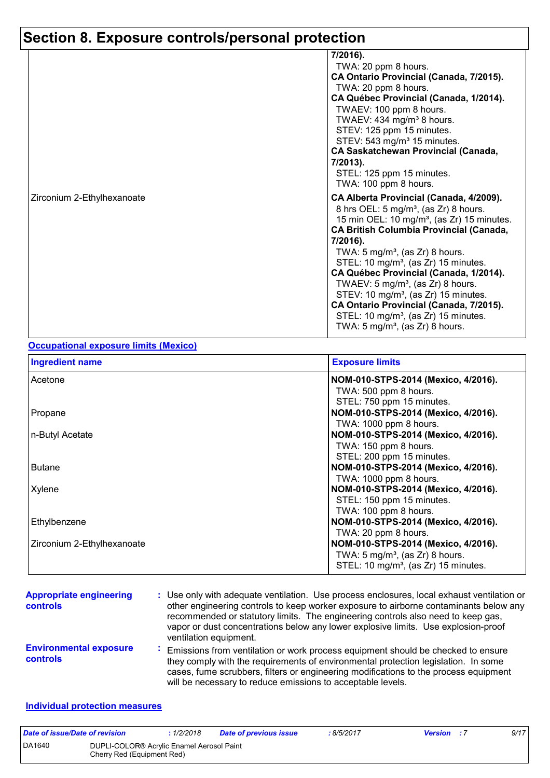| 7/2016).<br>TWA: 20 ppm 8 hours.<br>CA Ontario Provincial (Canada, 7/2015).<br>TWA: 20 ppm 8 hours.<br>CA Québec Provincial (Canada, 1/2014).<br>TWAEV: 100 ppm 8 hours.<br>TWAEV: 434 mg/m <sup>3</sup> 8 hours.<br>STEV: 125 ppm 15 minutes.                                                                                                                                                                                                                                                                                                                      |
|---------------------------------------------------------------------------------------------------------------------------------------------------------------------------------------------------------------------------------------------------------------------------------------------------------------------------------------------------------------------------------------------------------------------------------------------------------------------------------------------------------------------------------------------------------------------|
| STEV: 543 mg/m <sup>3</sup> 15 minutes.<br><b>CA Saskatchewan Provincial (Canada,</b><br>7/2013).<br>STEL: 125 ppm 15 minutes.<br>TWA: 100 ppm 8 hours.                                                                                                                                                                                                                                                                                                                                                                                                             |
| CA Alberta Provincial (Canada, 4/2009).<br>8 hrs OEL: 5 mg/m <sup>3</sup> , (as Zr) 8 hours.<br>15 min OEL: 10 mg/m <sup>3</sup> , (as Zr) 15 minutes.<br><b>CA British Columbia Provincial (Canada,</b><br>7/2016).<br>TWA: $5 \text{ mg/m}^3$ , (as Zr) 8 hours.<br>STEL: 10 mg/m <sup>3</sup> , (as Zr) 15 minutes.<br>CA Québec Provincial (Canada, 1/2014).<br>TWAEV: $5 \text{ mg/m}^3$ , (as Zr) 8 hours.<br>STEV: 10 mg/m <sup>3</sup> , (as Zr) 15 minutes.<br>CA Ontario Provincial (Canada, 7/2015).<br>STEL: 10 mg/m <sup>3</sup> , (as Zr) 15 minutes. |
|                                                                                                                                                                                                                                                                                                                                                                                                                                                                                                                                                                     |

#### **Occupational exposure limits (Mexico)**

| <b>Ingredient name</b>     | <b>Exposure limits</b>                           |  |  |
|----------------------------|--------------------------------------------------|--|--|
| Acetone                    | NOM-010-STPS-2014 (Mexico, 4/2016).              |  |  |
|                            | TWA: 500 ppm 8 hours.                            |  |  |
|                            | STEL: 750 ppm 15 minutes.                        |  |  |
| Propane                    | NOM-010-STPS-2014 (Mexico, 4/2016).              |  |  |
|                            | TWA: 1000 ppm 8 hours.                           |  |  |
| n-Butyl Acetate            | NOM-010-STPS-2014 (Mexico, 4/2016).              |  |  |
|                            | TWA: 150 ppm 8 hours.                            |  |  |
|                            | STEL: 200 ppm 15 minutes.                        |  |  |
| <b>Butane</b>              | NOM-010-STPS-2014 (Mexico, 4/2016).              |  |  |
|                            | TWA: 1000 ppm 8 hours.                           |  |  |
| Xylene                     | NOM-010-STPS-2014 (Mexico, 4/2016).              |  |  |
|                            | STEL: 150 ppm 15 minutes.                        |  |  |
|                            | TWA: 100 ppm 8 hours.                            |  |  |
| Ethylbenzene               | NOM-010-STPS-2014 (Mexico, 4/2016).              |  |  |
|                            | TWA: 20 ppm 8 hours.                             |  |  |
| Zirconium 2-Ethylhexanoate | NOM-010-STPS-2014 (Mexico, 4/2016).              |  |  |
|                            | TWA: $5 \text{ mg/m}^3$ , (as Zr) 8 hours.       |  |  |
|                            | STEL: 10 mg/m <sup>3</sup> , (as Zr) 15 minutes. |  |  |

| <b>Appropriate engineering</b><br><b>controls</b> | : Use only with adequate ventilation. Use process enclosures, local exhaust ventilation or<br>other engineering controls to keep worker exposure to airborne contaminants below any<br>recommended or statutory limits. The engineering controls also need to keep gas,<br>vapor or dust concentrations below any lower explosive limits. Use explosion-proof<br>ventilation equipment. |
|---------------------------------------------------|-----------------------------------------------------------------------------------------------------------------------------------------------------------------------------------------------------------------------------------------------------------------------------------------------------------------------------------------------------------------------------------------|
| <b>Environmental exposure</b><br><b>controls</b>  | Emissions from ventilation or work process equipment should be checked to ensure<br>they comply with the requirements of environmental protection legislation. In some<br>cases, fume scrubbers, filters or engineering modifications to the process equipment<br>will be necessary to reduce emissions to acceptable levels.                                                           |

#### **Individual protection measures**

| Date of issue/Date of revision |                                                                         | : 1/2/2018 | <b>Date of previous issue</b> | 8/5/2017 | <b>Version</b> : 7 | 9/17 |
|--------------------------------|-------------------------------------------------------------------------|------------|-------------------------------|----------|--------------------|------|
| DA1640                         | DUPLI-COLOR® Acrylic Enamel Aerosol Paint<br>Cherry Red (Equipment Red) |            |                               |          |                    |      |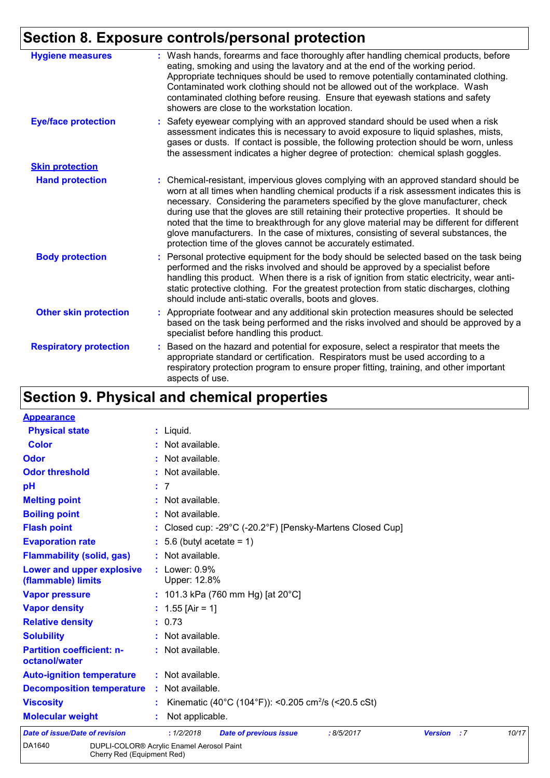| <b>Hygiene measures</b>       | : Wash hands, forearms and face thoroughly after handling chemical products, before<br>eating, smoking and using the lavatory and at the end of the working period.<br>Appropriate techniques should be used to remove potentially contaminated clothing.<br>Contaminated work clothing should not be allowed out of the workplace. Wash<br>contaminated clothing before reusing. Ensure that eyewash stations and safety<br>showers are close to the workstation location.                                                                                                                                            |
|-------------------------------|------------------------------------------------------------------------------------------------------------------------------------------------------------------------------------------------------------------------------------------------------------------------------------------------------------------------------------------------------------------------------------------------------------------------------------------------------------------------------------------------------------------------------------------------------------------------------------------------------------------------|
| <b>Eye/face protection</b>    | : Safety eyewear complying with an approved standard should be used when a risk<br>assessment indicates this is necessary to avoid exposure to liquid splashes, mists,<br>gases or dusts. If contact is possible, the following protection should be worn, unless<br>the assessment indicates a higher degree of protection: chemical splash goggles.                                                                                                                                                                                                                                                                  |
| <b>Skin protection</b>        |                                                                                                                                                                                                                                                                                                                                                                                                                                                                                                                                                                                                                        |
| <b>Hand protection</b>        | : Chemical-resistant, impervious gloves complying with an approved standard should be<br>worn at all times when handling chemical products if a risk assessment indicates this is<br>necessary. Considering the parameters specified by the glove manufacturer, check<br>during use that the gloves are still retaining their protective properties. It should be<br>noted that the time to breakthrough for any glove material may be different for different<br>glove manufacturers. In the case of mixtures, consisting of several substances, the<br>protection time of the gloves cannot be accurately estimated. |
| <b>Body protection</b>        | Personal protective equipment for the body should be selected based on the task being<br>t.<br>performed and the risks involved and should be approved by a specialist before<br>handling this product. When there is a risk of ignition from static electricity, wear anti-<br>static protective clothing. For the greatest protection from static discharges, clothing<br>should include anti-static overalls, boots and gloves.                                                                                                                                                                                     |
| <b>Other skin protection</b>  | : Appropriate footwear and any additional skin protection measures should be selected<br>based on the task being performed and the risks involved and should be approved by a<br>specialist before handling this product.                                                                                                                                                                                                                                                                                                                                                                                              |
| <b>Respiratory protection</b> | : Based on the hazard and potential for exposure, select a respirator that meets the<br>appropriate standard or certification. Respirators must be used according to a<br>respiratory protection program to ensure proper fitting, training, and other important<br>aspects of use.                                                                                                                                                                                                                                                                                                                                    |

# **Section 9. Physical and chemical properties**

| <b>Appearance</b>                                 |                                                                                                   |
|---------------------------------------------------|---------------------------------------------------------------------------------------------------|
| <b>Physical state</b>                             | $:$ Liquid.                                                                                       |
| <b>Color</b>                                      | : Not available.                                                                                  |
| Odor                                              | : Not available.                                                                                  |
| <b>Odor threshold</b>                             | : Not available.                                                                                  |
| pH                                                | : 7                                                                                               |
| <b>Melting point</b>                              | : Not available.                                                                                  |
| <b>Boiling point</b>                              | : Not available.                                                                                  |
| <b>Flash point</b>                                | : Closed cup: -29°C (-20.2°F) [Pensky-Martens Closed Cup]                                         |
| <b>Evaporation rate</b>                           | $: 5.6$ (butyl acetate = 1)                                                                       |
| <b>Flammability (solid, gas)</b>                  | : Not available.                                                                                  |
| Lower and upper explosive<br>(flammable) limits   | $:$ Lower: $0.9\%$<br>Upper: 12.8%                                                                |
| <b>Vapor pressure</b>                             | : 101.3 kPa (760 mm Hg) [at $20^{\circ}$ C]                                                       |
| <b>Vapor density</b>                              | : $1.55$ [Air = 1]                                                                                |
| <b>Relative density</b>                           | : 0.73                                                                                            |
| <b>Solubility</b>                                 | : Not available.                                                                                  |
| <b>Partition coefficient: n-</b><br>octanol/water | : Not available.                                                                                  |
| <b>Auto-ignition temperature</b>                  | : Not available.                                                                                  |
| <b>Decomposition temperature</b>                  | : Not available.                                                                                  |
| <b>Viscosity</b>                                  | Kinematic (40°C (104°F)): <0.205 cm <sup>2</sup> /s (<20.5 cSt)                                   |
| <b>Molecular weight</b>                           | Not applicable.                                                                                   |
| <b>Date of issue/Date of revision</b>             | : 1/2/2018<br>10/17<br><b>Date of previous issue</b><br>:8/5/2017<br><b>Version</b><br>$\cdot$ :7 |
| DA1640<br>Cherry Red (Equipment Red)              | DUPLI-COLOR® Acrylic Enamel Aerosol Paint                                                         |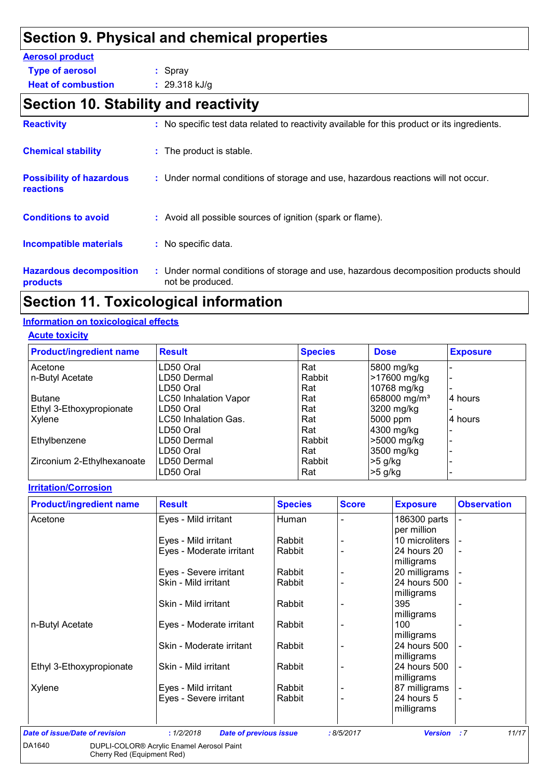# **Section 9. Physical and chemical properties**

### **Aerosol product**

| <b>Type of aerosol</b> | : Spray    |
|------------------------|------------|
|                        | . <i>.</i> |

**Heat of combustion :** 29.318 kJ/g

## **Section 10. Stability and reactivity**

| <b>Reactivity</b>                                   | : No specific test data related to reactivity available for this product or its ingredients.              |
|-----------------------------------------------------|-----------------------------------------------------------------------------------------------------------|
| <b>Chemical stability</b>                           | : The product is stable.                                                                                  |
| <b>Possibility of hazardous</b><br><b>reactions</b> | : Under normal conditions of storage and use, hazardous reactions will not occur.                         |
| <b>Conditions to avoid</b>                          | : Avoid all possible sources of ignition (spark or flame).                                                |
| <b>Incompatible materials</b>                       | : No specific data.                                                                                       |
| <b>Hazardous decomposition</b><br>products          | : Under normal conditions of storage and use, hazardous decomposition products should<br>not be produced. |

# **Section 11. Toxicological information**

### **Information on toxicological effects**

**Acute toxicity**

| <b>Product/ingredient name</b> | <b>Result</b>                | <b>Species</b> | <b>Dose</b>              | <b>Exposure</b> |
|--------------------------------|------------------------------|----------------|--------------------------|-----------------|
| Acetone                        | LD50 Oral                    | Rat            | 5800 mg/kg               |                 |
| n-Butyl Acetate                | LD50 Dermal                  | Rabbit         | >17600 mg/kg             |                 |
|                                | LD50 Oral                    | Rat            | 10768 mg/kg              |                 |
| <b>Butane</b>                  | <b>LC50 Inhalation Vapor</b> | Rat            | 658000 mg/m <sup>3</sup> | 14 hours        |
| Ethyl 3-Ethoxypropionate       | LD50 Oral                    | Rat            | 3200 mg/kg               |                 |
| Xylene                         | LC50 Inhalation Gas.         | Rat            | 5000 ppm                 | 4 hours         |
|                                | LD50 Oral                    | Rat            | 4300 mg/kg               |                 |
| Ethylbenzene                   | LD50 Dermal                  | Rabbit         | >5000 mg/kg              |                 |
|                                | LD50 Oral                    | Rat            | 3500 mg/kg               |                 |
| Zirconium 2-Ethylhexanoate     | LD50 Dermal                  | Rabbit         | $>5$ g/kg                |                 |
|                                | LD50 Oral                    | Rat            | $>5$ g/kg                |                 |

#### **Irritation/Corrosion**

| <b>Product/ingredient name</b> | <b>Result</b>            | <b>Species</b> | <b>Score</b> | <b>Exposure</b> | <b>Observation</b>       |
|--------------------------------|--------------------------|----------------|--------------|-----------------|--------------------------|
| Acetone                        | Eyes - Mild irritant     | Human          |              | 186300 parts    | $\blacksquare$           |
|                                |                          |                |              | per million     |                          |
|                                | Eyes - Mild irritant     | Rabbit         |              | 10 microliters  |                          |
|                                | Eyes - Moderate irritant | Rabbit         |              | 24 hours 20     | $\blacksquare$           |
|                                |                          |                |              | milligrams      |                          |
|                                | Eyes - Severe irritant   | Rabbit         |              | 20 milligrams   |                          |
|                                | Skin - Mild irritant     | Rabbit         |              | 24 hours 500    |                          |
|                                |                          |                |              | milligrams      |                          |
|                                | Skin - Mild irritant     | Rabbit         |              | 395             | $\overline{\phantom{0}}$ |
|                                |                          |                |              | milligrams      |                          |
| n-Butyl Acetate                | Eyes - Moderate irritant | Rabbit         |              | 100             |                          |
|                                |                          |                |              | milligrams      |                          |
|                                | Skin - Moderate irritant | Rabbit         |              | 24 hours 500    | $\overline{\phantom{a}}$ |
|                                |                          |                |              | milligrams      |                          |
| Ethyl 3-Ethoxypropionate       | Skin - Mild irritant     | Rabbit         |              | 24 hours 500    | $\overline{\phantom{a}}$ |
|                                |                          |                |              | milligrams      |                          |
| Xylene                         | Eyes - Mild irritant     | Rabbit         |              | 87 milligrams   |                          |
|                                | Eyes - Severe irritant   | Rabbit         |              | 24 hours 5      | ٠                        |
|                                |                          |                |              | milligrams      |                          |
|                                |                          |                |              |                 |                          |

| Date of issue/Date of revision |                                                                                     | 1/2/2018 | Date of previous issue | : 8/5/2017 | <b>Version</b> : 7 | 11/17 |
|--------------------------------|-------------------------------------------------------------------------------------|----------|------------------------|------------|--------------------|-------|
| DA1640                         | DUPLI-COLOR <sup>®</sup> Acrylic Enamel Aerosol Paint<br>Cherry Red (Equipment Red) |          |                        |            |                    |       |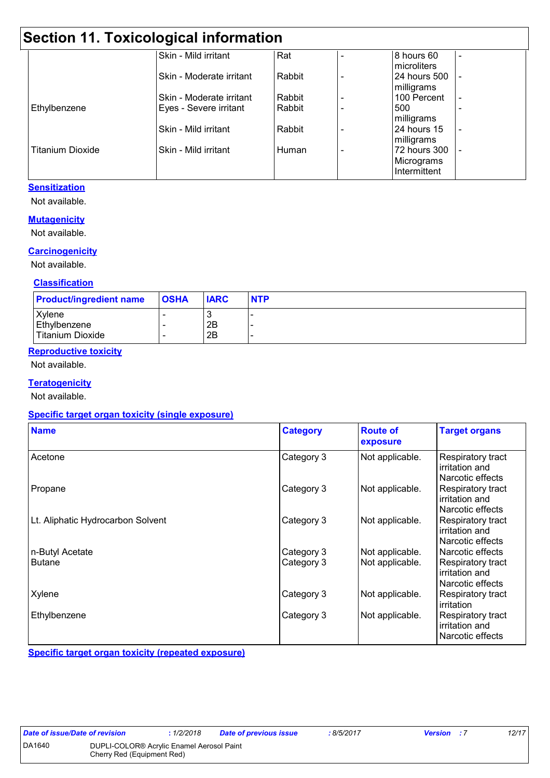## **Section 11. Toxicological information**

|                         | <b>OUGLICII II. IUAICOIOGICAI IIIIUIIIIAUUII</b> |        |                                            |  |
|-------------------------|--------------------------------------------------|--------|--------------------------------------------|--|
|                         | Skin - Mild irritant                             | Rat    | 8 hours 60<br>microliters                  |  |
|                         | Skin - Moderate irritant                         | Rabbit | 24 hours 500<br>milligrams                 |  |
|                         | Skin - Moderate irritant                         | Rabbit | 100 Percent                                |  |
| Ethylbenzene            | Eyes - Severe irritant                           | Rabbit | 500<br>milligrams                          |  |
|                         | Skin - Mild irritant                             | Rabbit | 24 hours 15<br>milligrams                  |  |
| <b>Titanium Dioxide</b> | Skin - Mild irritant                             | Human  | 72 hours 300<br>Micrograms<br>Intermittent |  |

### **Sensitization**

Not available.

#### **Mutagenicity**

Not available.

#### **Carcinogenicity**

Not available.

### **Classification**

| <b>Product/ingredient name</b> | <b>OSHA</b> | <b>IARC</b> | <b>NTP</b> |
|--------------------------------|-------------|-------------|------------|
| Xylene                         |             | u           |            |
| Ethylbenzene                   |             | 2B          |            |
| <b>Titanium Dioxide</b>        |             | 2B          |            |

### **Reproductive toxicity**

Not available.

#### **Teratogenicity**

Not available.

#### **Specific target organ toxicity (single exposure)**

| <b>Name</b>                       | <b>Category</b>          | <b>Route of</b><br>exposure        | <b>Target organs</b>                                                        |
|-----------------------------------|--------------------------|------------------------------------|-----------------------------------------------------------------------------|
| Acetone                           | Category 3               | Not applicable.                    | Respiratory tract<br>irritation and<br>Narcotic effects                     |
| Propane                           | Category 3               | Not applicable.                    | Respiratory tract<br>irritation and<br>Narcotic effects                     |
| Lt. Aliphatic Hydrocarbon Solvent | Category 3               | Not applicable.                    | Respiratory tract<br>irritation and<br>Narcotic effects                     |
| n-Butyl Acetate<br><b>Butane</b>  | Category 3<br>Category 3 | Not applicable.<br>Not applicable. | Narcotic effects<br>Respiratory tract<br>irritation and<br>Narcotic effects |
| Xylene                            | Category 3               | Not applicable.                    | Respiratory tract<br>irritation                                             |
| Ethylbenzene                      | Category 3               | Not applicable.                    | Respiratory tract<br>irritation and<br>Narcotic effects                     |

**Specific target organ toxicity (repeated exposure)**

|  | <b>Date of issue/Date of re</b> |  |  |  |  |  |  |
|--|---------------------------------|--|--|--|--|--|--|
|--|---------------------------------|--|--|--|--|--|--|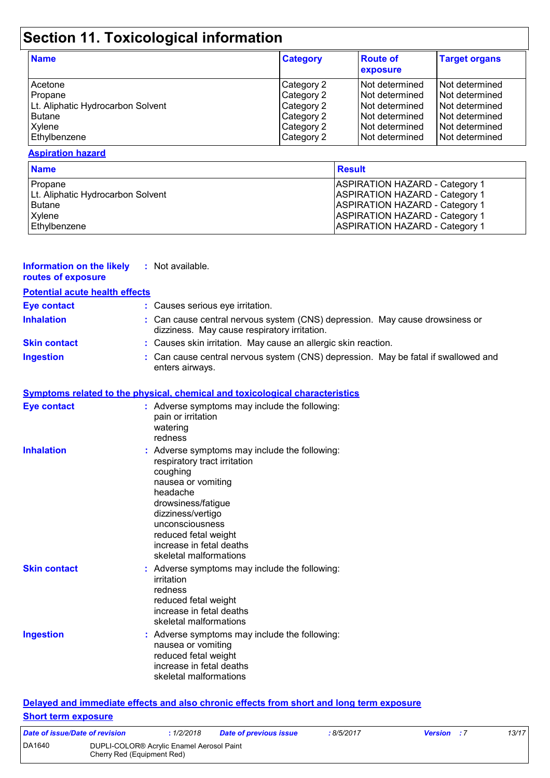# **Section 11. Toxicological information**

| <b>Name</b>                                                                        | <b>Category</b>                                                    | <b>Route of</b><br>exposure                                                            | <b>Target organs</b>                                                                     |
|------------------------------------------------------------------------------------|--------------------------------------------------------------------|----------------------------------------------------------------------------------------|------------------------------------------------------------------------------------------|
| Acetone<br>Propane<br>Lt. Aliphatic Hydrocarbon Solvent<br><b>Butane</b><br>Xylene | Category 2<br>Category 2<br>Category 2<br>Category 2<br>Category 2 | Not determined<br>Not determined<br>Not determined<br>Not determined<br>Not determined | Not determined<br>l Not determined<br>Not determined<br>Not determined<br>Not determined |
| Ethylbenzene                                                                       | Category 2                                                         | Not determined                                                                         | Not determined                                                                           |

#### **Aspiration hazard**

| <b>Name</b>                       | <b>Result</b>                         |
|-----------------------------------|---------------------------------------|
| Propane                           | <b>ASPIRATION HAZARD - Category 1</b> |
| Lt. Aliphatic Hydrocarbon Solvent | <b>ASPIRATION HAZARD - Category 1</b> |
| <b>Butane</b>                     | <b>ASPIRATION HAZARD - Category 1</b> |
| Xylene                            | <b>ASPIRATION HAZARD - Category 1</b> |
| Ethylbenzene                      | <b>ASPIRATION HAZARD - Category 1</b> |

| <b>Information on the likely</b> | : Not ava |
|----------------------------------|-----------|
| routes of exposure               |           |

ailable.

## **Potential acute health effects**

| <u>T otomnai acuto noditii choots</u> |                                                                                                                              |
|---------------------------------------|------------------------------------------------------------------------------------------------------------------------------|
| Eye contact                           | : Causes serious eye irritation.                                                                                             |
| <b>Inhalation</b>                     | : Can cause central nervous system (CNS) depression. May cause drowsiness or<br>dizziness. May cause respiratory irritation. |
| <b>Skin contact</b>                   | : Causes skin irritation. May cause an allergic skin reaction.                                                               |
| <b>Ingestion</b>                      | : Can cause central nervous system (CNS) depression. May be fatal if swallowed and<br>enters airways.                        |

#### **Symptoms related to the physical, chemical and toxicological characteristics**

| Eye contact         | : Adverse symptoms may include the following:<br>pain or irritation<br>watering<br>redness                                                                                                                                                                              |
|---------------------|-------------------------------------------------------------------------------------------------------------------------------------------------------------------------------------------------------------------------------------------------------------------------|
| <b>Inhalation</b>   | : Adverse symptoms may include the following:<br>respiratory tract irritation<br>coughing<br>nausea or vomiting<br>headache<br>drowsiness/fatigue<br>dizziness/vertigo<br>unconsciousness<br>reduced fetal weight<br>increase in fetal deaths<br>skeletal malformations |
| <b>Skin contact</b> | : Adverse symptoms may include the following:<br>irritation<br>redness<br>reduced fetal weight<br>increase in fetal deaths<br>skeletal malformations                                                                                                                    |
| <b>Ingestion</b>    | : Adverse symptoms may include the following:<br>nausea or vomiting<br>reduced fetal weight<br>increase in fetal deaths<br>skeletal malformations                                                                                                                       |

#### **Delayed and immediate effects and also chronic effects from short and long term exposure Short term exposure**

| Date of issue/Date of revision |                                                                         | 1/2/2018 | Date of previous issue | 8/5/2017 | <b>Version</b> : 7 | 13/17 |
|--------------------------------|-------------------------------------------------------------------------|----------|------------------------|----------|--------------------|-------|
| DA1640                         | DUPLI-COLOR® Acrylic Enamel Aerosol Paint<br>Cherry Red (Equipment Red) |          |                        |          |                    |       |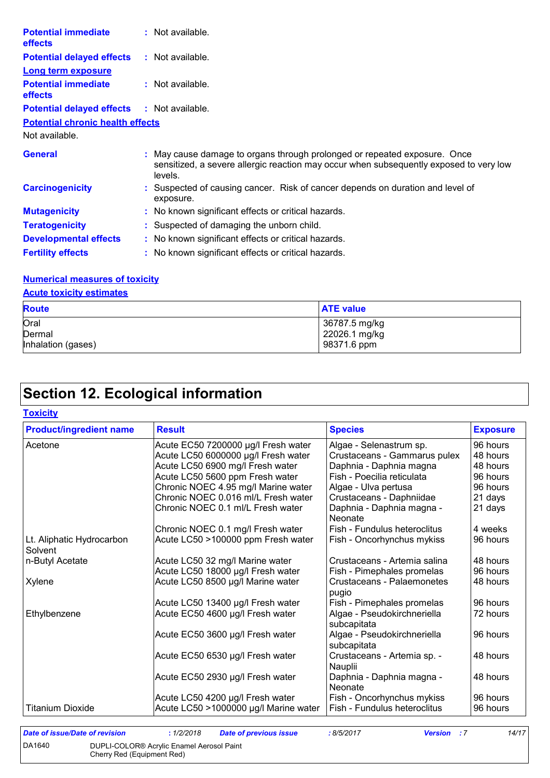| <b>Potential immediate</b><br>effects        | : Not available.                                                                                                                                                               |
|----------------------------------------------|--------------------------------------------------------------------------------------------------------------------------------------------------------------------------------|
| <b>Potential delayed effects</b>             | : Not available.                                                                                                                                                               |
| <b>Long term exposure</b>                    |                                                                                                                                                                                |
| <b>Potential immediate</b><br><b>effects</b> | : Not available.                                                                                                                                                               |
| <b>Potential delayed effects</b>             | : Not available.                                                                                                                                                               |
| <b>Potential chronic health effects</b>      |                                                                                                                                                                                |
| Not available.                               |                                                                                                                                                                                |
| <b>General</b>                               | : May cause damage to organs through prolonged or repeated exposure. Once<br>sensitized, a severe allergic reaction may occur when subsequently exposed to very low<br>levels. |
| <b>Carcinogenicity</b>                       | : Suspected of causing cancer. Risk of cancer depends on duration and level of<br>exposure.                                                                                    |
| <b>Mutagenicity</b>                          | : No known significant effects or critical hazards.                                                                                                                            |
| <b>Teratogenicity</b>                        | : Suspected of damaging the unborn child.                                                                                                                                      |
| <b>Developmental effects</b>                 | : No known significant effects or critical hazards.                                                                                                                            |
| <b>Fertility effects</b>                     | : No known significant effects or critical hazards.                                                                                                                            |

### **Numerical measures of toxicity**

### **Acute toxicity estimates**

| <b>Route</b>       | <b>ATE value</b> |
|--------------------|------------------|
| Oral               | 36787.5 mg/kg    |
| Dermal             | 22026.1 mg/kg    |
| Inhalation (gases) | 98371.6 ppm      |

# **Section 12. Ecological information**

### **Toxicity**

| <b>Product/ingredient name</b> | <b>Result</b>                         | <b>Species</b>                             | <b>Exposure</b> |
|--------------------------------|---------------------------------------|--------------------------------------------|-----------------|
| Acetone                        | Acute EC50 7200000 µg/l Fresh water   | Algae - Selenastrum sp.                    | 96 hours        |
|                                | Acute LC50 6000000 µg/l Fresh water   | Crustaceans - Gammarus pulex               | 48 hours        |
|                                | Acute LC50 6900 mg/l Fresh water      | Daphnia - Daphnia magna                    | 48 hours        |
|                                | Acute LC50 5600 ppm Fresh water       | Fish - Poecilia reticulata                 | 96 hours        |
|                                | Chronic NOEC 4.95 mg/l Marine water   | Algae - Ulva pertusa                       | 96 hours        |
|                                | Chronic NOEC 0.016 ml/L Fresh water   | Crustaceans - Daphniidae                   | 21 days         |
|                                | Chronic NOEC 0.1 ml/L Fresh water     | Daphnia - Daphnia magna -<br>Neonate       | 21 days         |
|                                | Chronic NOEC 0.1 mg/l Fresh water     | Fish - Fundulus heteroclitus               | 4 weeks         |
| Lt. Aliphatic Hydrocarbon      | Acute LC50 >100000 ppm Fresh water    | Fish - Oncorhynchus mykiss                 | 96 hours        |
| Solvent                        |                                       |                                            |                 |
| n-Butyl Acetate                | Acute LC50 32 mg/l Marine water       | Crustaceans - Artemia salina               | 48 hours        |
|                                | Acute LC50 18000 µg/l Fresh water     | Fish - Pimephales promelas                 | 96 hours        |
| Xylene                         | Acute LC50 8500 µg/l Marine water     | Crustaceans - Palaemonetes<br>pugio        | 48 hours        |
|                                | Acute LC50 13400 µg/l Fresh water     | Fish - Pimephales promelas                 | 96 hours        |
| Ethylbenzene                   | Acute EC50 4600 µg/l Fresh water      | Algae - Pseudokirchneriella<br>subcapitata | 72 hours        |
|                                | Acute EC50 3600 µg/l Fresh water      | Algae - Pseudokirchneriella<br>subcapitata | 96 hours        |
|                                | Acute EC50 6530 µg/l Fresh water      | Crustaceans - Artemia sp. -<br>Nauplii     | 48 hours        |
|                                | Acute EC50 2930 µg/l Fresh water      | Daphnia - Daphnia magna -<br>Neonate       | 48 hours        |
|                                | Acute LC50 4200 µg/l Fresh water      | Fish - Oncorhynchus mykiss                 | 96 hours        |
| <b>Titanium Dioxide</b>        | Acute LC50 >1000000 µg/l Marine water | Fish - Fundulus heteroclitus               | 96 hours        |

| Date of issue/Date of revision |                                                                                     | 1/2/2018 | Date of previous issue | 8/5/2017 | <b>Version</b> : 7 | 14/17 |
|--------------------------------|-------------------------------------------------------------------------------------|----------|------------------------|----------|--------------------|-------|
| DA1640                         | DUPLI-COLOR <sup>®</sup> Acrylic Enamel Aerosol Paint<br>Cherry Red (Equipment Red) |          |                        |          |                    |       |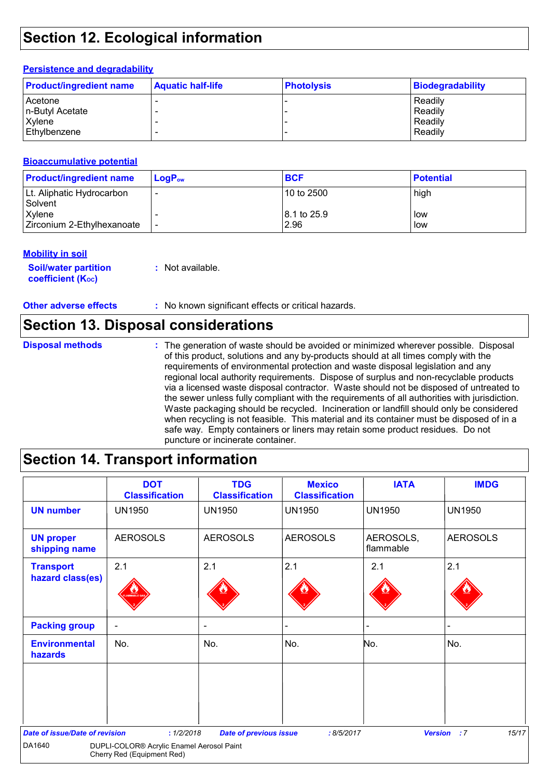## **Section 12. Ecological information**

#### **Persistence and degradability**

| <b>Product/ingredient name</b> | <b>Aquatic half-life</b> | <b>Photolysis</b> | Biodegradability |
|--------------------------------|--------------------------|-------------------|------------------|
| Acetone                        |                          |                   | Readily          |
| n-Butyl Acetate                |                          |                   | Readily          |
| <b>Xylene</b>                  |                          |                   | Readily          |
| Ethylbenzene                   |                          |                   | Readily          |

#### **Bioaccumulative potential**

| <b>Product/ingredient name</b>       | $LogPow$ | <b>BCF</b>                      | <b>Potential</b> |
|--------------------------------------|----------|---------------------------------|------------------|
| Lt. Aliphatic Hydrocarbon<br>Solvent |          | 10 to 2500                      | high             |
| Xylene<br>Zirconium 2-Ethylhexanoate |          | $ 8.1 \text{ to } 25.9$<br>2.96 | low<br>low       |

#### **Mobility in soil**

**Soil/water partition coefficient (KOC) :** Not available.

**Other adverse effects** : No known significant effects or critical hazards.

### **Section 13. Disposal considerations**

The generation of waste should be avoided or minimized wherever possible. Disposal of this product, solutions and any by-products should at all times comply with the requirements of environmental protection and waste disposal legislation and any regional local authority requirements. Dispose of surplus and non-recyclable products via a licensed waste disposal contractor. Waste should not be disposed of untreated to the sewer unless fully compliant with the requirements of all authorities with jurisdiction. Waste packaging should be recycled. Incineration or landfill should only be considered when recycling is not feasible. This material and its container must be disposed of in a safe way. Empty containers or liners may retain some product residues. Do not puncture or incinerate container. **Disposal methods :**

## **Section 14. Transport information**

|                                       | <b>DOT</b><br><b>Classification</b>                                     | <b>TDG</b><br><b>Classification</b> | <b>Mexico</b><br><b>Classification</b> | <b>IATA</b>            | <b>IMDG</b>          |
|---------------------------------------|-------------------------------------------------------------------------|-------------------------------------|----------------------------------------|------------------------|----------------------|
| <b>UN number</b>                      | <b>UN1950</b>                                                           | <b>UN1950</b>                       | <b>UN1950</b>                          | <b>UN1950</b>          | <b>UN1950</b>        |
| <b>UN proper</b><br>shipping name     | <b>AEROSOLS</b>                                                         | <b>AEROSOLS</b>                     | <b>AEROSOLS</b>                        | AEROSOLS,<br>flammable | <b>AEROSOLS</b>      |
| <b>Transport</b><br>hazard class(es)  | 2.1                                                                     | 2.1                                 | 2.1                                    | 2.1                    | 2.1                  |
| <b>Packing group</b>                  | $\overline{\phantom{a}}$                                                | $\overline{\phantom{a}}$            |                                        | -                      |                      |
| <b>Environmental</b><br>hazards       | No.                                                                     | No.                                 | No.                                    | No.                    | No.                  |
|                                       |                                                                         |                                     |                                        |                        |                      |
| <b>Date of issue/Date of revision</b> | : 1/2/2018                                                              | <b>Date of previous issue</b>       | :8/5/2017                              |                        | 15/17<br>Version : 7 |
| DA1640                                | DUPLI-COLOR® Acrylic Enamel Aerosol Paint<br>Cherry Red (Equipment Red) |                                     |                                        |                        |                      |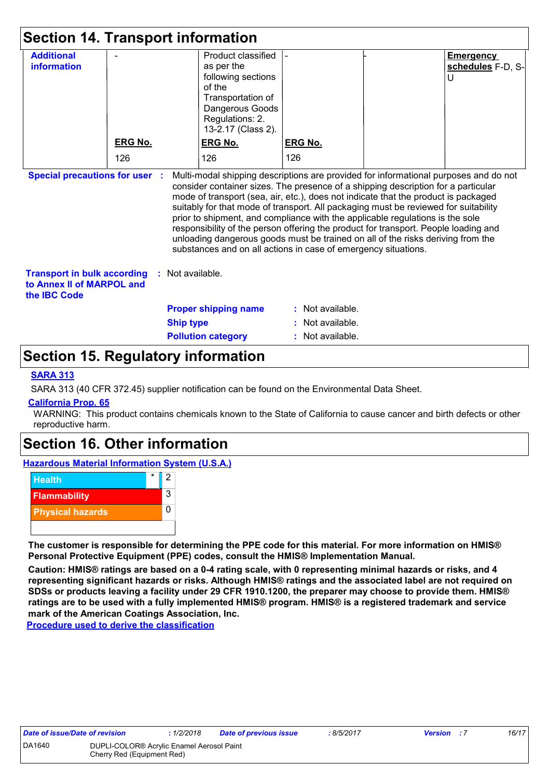| <b>Section 14. Transport information</b>                                                                                                                                                                                                                                                                                                                                                                                                                                                                                                                                                                                                                                                                                   |                |                  |                                                                                                                                                   |                  |  |                                            |
|----------------------------------------------------------------------------------------------------------------------------------------------------------------------------------------------------------------------------------------------------------------------------------------------------------------------------------------------------------------------------------------------------------------------------------------------------------------------------------------------------------------------------------------------------------------------------------------------------------------------------------------------------------------------------------------------------------------------------|----------------|------------------|---------------------------------------------------------------------------------------------------------------------------------------------------|------------------|--|--------------------------------------------|
| <b>Additional</b><br><b>information</b>                                                                                                                                                                                                                                                                                                                                                                                                                                                                                                                                                                                                                                                                                    |                |                  | Product classified<br>as per the<br>following sections<br>of the<br>Transportation of<br>Dangerous Goods<br>Regulations: 2.<br>13-2.17 (Class 2). |                  |  | <b>Emergency</b><br>schedules F-D, S-<br>U |
|                                                                                                                                                                                                                                                                                                                                                                                                                                                                                                                                                                                                                                                                                                                            | <b>ERG No.</b> |                  | <b>ERG No.</b>                                                                                                                                    | <b>ERG No.</b>   |  |                                            |
|                                                                                                                                                                                                                                                                                                                                                                                                                                                                                                                                                                                                                                                                                                                            | 126            |                  | 126                                                                                                                                               | 126              |  |                                            |
| <b>Special precautions for user</b><br>Multi-modal shipping descriptions are provided for informational purposes and do not<br>consider container sizes. The presence of a shipping description for a particular<br>mode of transport (sea, air, etc.), does not indicate that the product is packaged<br>suitably for that mode of transport. All packaging must be reviewed for suitability<br>prior to shipment, and compliance with the applicable regulations is the sole<br>responsibility of the person offering the product for transport. People loading and<br>unloading dangerous goods must be trained on all of the risks deriving from the<br>substances and on all actions in case of emergency situations. |                |                  |                                                                                                                                                   |                  |  |                                            |
| <b>Transport in bulk according</b><br>Not available.<br>to Annex II of MARPOL and<br>the <b>IBC</b> Code                                                                                                                                                                                                                                                                                                                                                                                                                                                                                                                                                                                                                   |                |                  |                                                                                                                                                   |                  |  |                                            |
|                                                                                                                                                                                                                                                                                                                                                                                                                                                                                                                                                                                                                                                                                                                            |                |                  | <b>Proper shipping name</b>                                                                                                                       | : Not available. |  |                                            |
|                                                                                                                                                                                                                                                                                                                                                                                                                                                                                                                                                                                                                                                                                                                            |                | <b>Ship type</b> |                                                                                                                                                   | Not available.   |  |                                            |
|                                                                                                                                                                                                                                                                                                                                                                                                                                                                                                                                                                                                                                                                                                                            |                |                  | <b>Pollution category</b>                                                                                                                         | Not available.   |  |                                            |

## **Section 15. Regulatory information**

### **SARA 313**

SARA 313 (40 CFR 372.45) supplier notification can be found on the Environmental Data Sheet.

#### **California Prop. 65**

WARNING: This product contains chemicals known to the State of California to cause cancer and birth defects or other reproductive harm.

### **Section 16. Other information**

**Hazardous Material Information System (U.S.A.)**



**The customer is responsible for determining the PPE code for this material. For more information on HMIS® Personal Protective Equipment (PPE) codes, consult the HMIS® Implementation Manual.**

**Caution: HMIS® ratings are based on a 0-4 rating scale, with 0 representing minimal hazards or risks, and 4 representing significant hazards or risks. Although HMIS® ratings and the associated label are not required on SDSs or products leaving a facility under 29 CFR 1910.1200, the preparer may choose to provide them. HMIS® ratings are to be used with a fully implemented HMIS® program. HMIS® is a registered trademark and service mark of the American Coatings Association, Inc.**

**Procedure used to derive the classification**